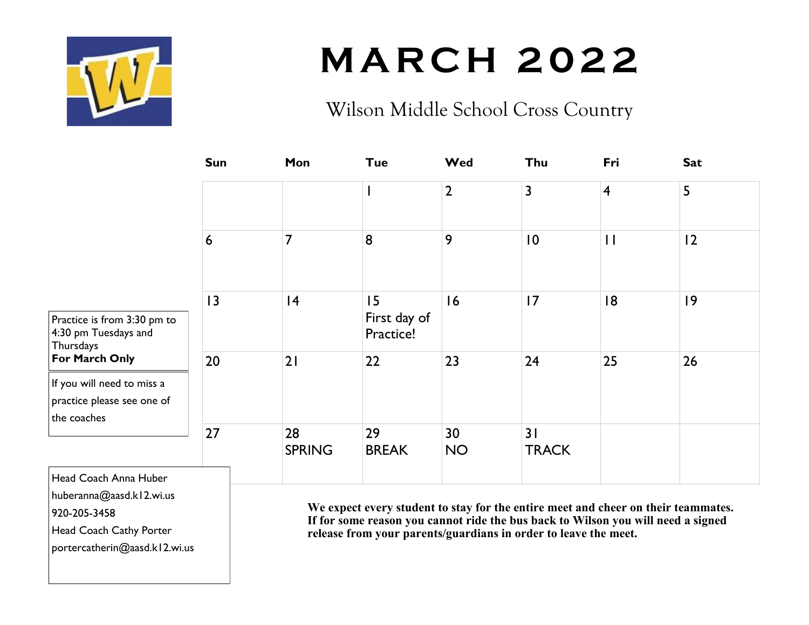

# **M A R C H 2 0 2 2**

### Wilson Middle School Cross Country

|                                                                                              | <b>Sun</b>      | Mon                                                                                                                                                                                                                                      | <b>Tue</b>                      | Wed             | Thu                | Fri            | <b>Sat</b>  |
|----------------------------------------------------------------------------------------------|-----------------|------------------------------------------------------------------------------------------------------------------------------------------------------------------------------------------------------------------------------------------|---------------------------------|-----------------|--------------------|----------------|-------------|
|                                                                                              |                 |                                                                                                                                                                                                                                          |                                 | $\overline{2}$  | 3                  | $\overline{4}$ | 5           |
|                                                                                              | 6               | 7                                                                                                                                                                                                                                        | 8                               | 9               | 10                 | $\mathbf{H}$   | 12          |
| Practice is from 3:30 pm to<br>4:30 pm Tuesdays and<br>Thursdays<br>For March Only           | $\overline{13}$ | 4                                                                                                                                                                                                                                        | 15<br>First day of<br>Practice! | 16              | 17                 | 8              | $ 9\rangle$ |
|                                                                                              | 20              | 21                                                                                                                                                                                                                                       | 22                              | 23              | 24                 | 25             | 26          |
| If you will need to miss a<br>practice please see one of<br>the coaches                      |                 |                                                                                                                                                                                                                                          |                                 |                 |                    |                |             |
|                                                                                              | 27              | 28<br><b>SPRING</b>                                                                                                                                                                                                                      | 29<br><b>BREAK</b>              | 30<br><b>NO</b> | 31<br><b>TRACK</b> |                |             |
| Head Coach Anna Huber<br>huberanna@aasd.kl2.wi.us<br>920-205-3458<br>Head Coach Cathy Porter |                 | We expect every student to stay for the entire meet and cheer on their teammates.<br>If for some reason you cannot ride the bus back to Wilson you will need a signed<br>release from your parents/guardians in order to leave the meet. |                                 |                 |                    |                |             |

**release from your parents/guardians in order to leave the meet.**

portercatherin@aasd.k12.wi.us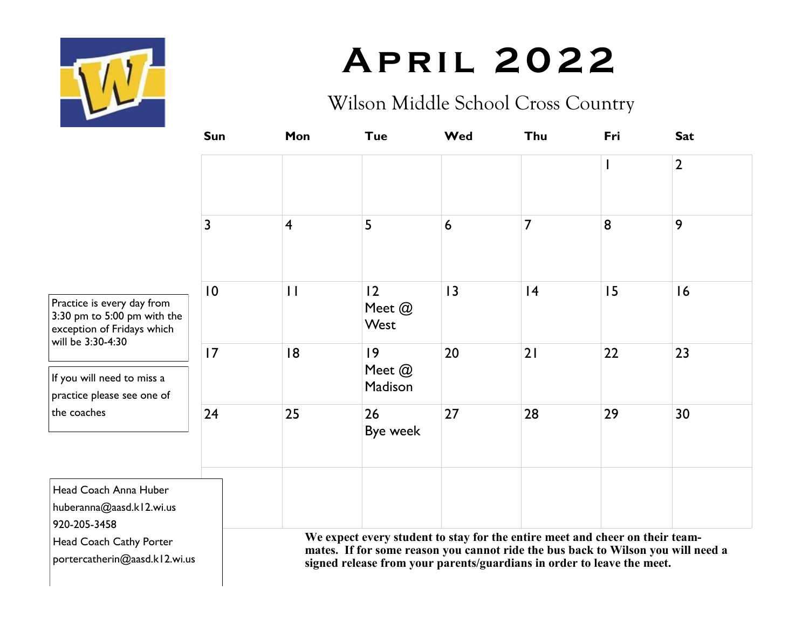

# **A p r i l 2 0 2 2**

#### Wilson Middle School Cross Country

|                                                                                                                                                                              | Sun | Mon            | <b>Tue</b>                                                                                                                                                                                                                                 | Wed             | Thu | Fri | <b>Sat</b>     |  |
|------------------------------------------------------------------------------------------------------------------------------------------------------------------------------|-----|----------------|--------------------------------------------------------------------------------------------------------------------------------------------------------------------------------------------------------------------------------------------|-----------------|-----|-----|----------------|--|
|                                                                                                                                                                              |     |                |                                                                                                                                                                                                                                            |                 |     |     | $\overline{2}$ |  |
|                                                                                                                                                                              | 3   | $\overline{4}$ | 5                                                                                                                                                                                                                                          | $6\phantom{1}6$ | 7   | 8   | 9              |  |
| Practice is every day from<br>$3:30$ pm to $5:00$ pm with the<br>exception of Fridays which<br>will be 3:30-4:30<br>If you will need to miss a<br>practice please see one of | 0   | $\mathbf{1}$   | 12<br>Meet @<br>West                                                                                                                                                                                                                       | 3               | 4   | 15  | 16             |  |
|                                                                                                                                                                              | 17  | 18             | 9<br>Meet $@$<br>Madison                                                                                                                                                                                                                   | 20              | 21  | 22  | 23             |  |
| the coaches                                                                                                                                                                  | 24  | 25             | 26<br>Bye week                                                                                                                                                                                                                             | 27              | 28  | 29  | 30             |  |
| Head Coach Anna Huber<br>huberanna@aasd.kl2.wi.us<br>920-205-3458                                                                                                            |     |                |                                                                                                                                                                                                                                            |                 |     |     |                |  |
| Head Coach Cathy Porter<br>portercatherin@aasd.kl2.wi.us                                                                                                                     |     |                | We expect every student to stay for the entire meet and cheer on their team-<br>mates. If for some reason you cannot ride the bus back to Wilson you will need a<br>signed release from your parents/guardians in order to leave the meet. |                 |     |     |                |  |